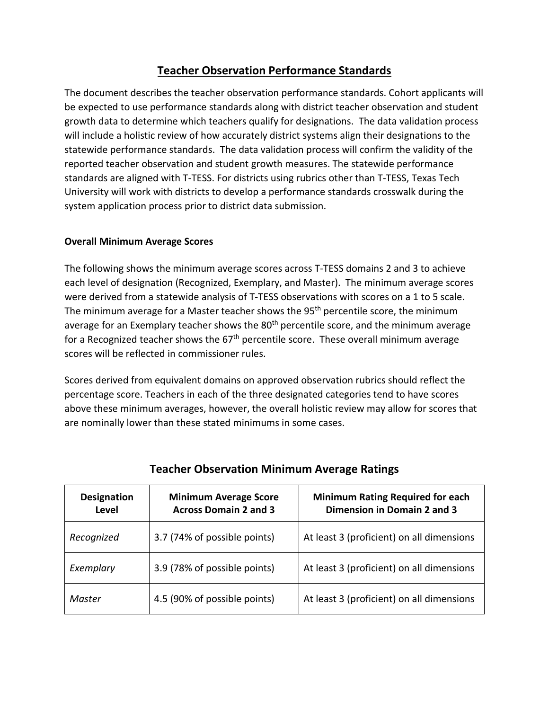## **Teacher Observation Performance Standards**

The document describes the teacher observation performance standards. Cohort applicants will be expected to use performance standards along with district teacher observation and student growth data to determine which teachers qualify for designations. The data validation process will include a holistic review of how accurately district systems align their designations to the statewide performance standards. The data validation process will confirm the validity of the reported teacher observation and student growth measures. The statewide performance standards are aligned with T-TESS. For districts using rubrics other than T-TESS, Texas Tech University will work with districts to develop a performance standards crosswalk during the system application process prior to district data submission.

### **Overall Minimum Average Scores**

The following shows the minimum average scores across T-TESS domains 2 and 3 to achieve each level of designation (Recognized, Exemplary, and Master). The minimum average scores were derived from a statewide analysis of T-TESS observations with scores on a 1 to 5 scale. The minimum average for a Master teacher shows the 95<sup>th</sup> percentile score, the minimum average for an Exemplary teacher shows the 80<sup>th</sup> percentile score, and the minimum average for a Recognized teacher shows the  $67<sup>th</sup>$  percentile score. These overall minimum average scores will be reflected in commissioner rules.

Scores derived from equivalent domains on approved observation rubrics should reflect the percentage score. Teachers in each of the three designated categories tend to have scores above these minimum averages, however, the overall holistic review may allow for scores that are nominally lower than these stated minimums in some cases.

| <b>Designation</b><br>Level | <b>Minimum Average Score</b><br><b>Across Domain 2 and 3</b> | <b>Minimum Rating Required for each</b><br>Dimension in Domain 2 and 3 |
|-----------------------------|--------------------------------------------------------------|------------------------------------------------------------------------|
| Recognized                  | 3.7 (74% of possible points)                                 | At least 3 (proficient) on all dimensions                              |
| Exemplary                   | 3.9 (78% of possible points)                                 | At least 3 (proficient) on all dimensions                              |
| Master                      | 4.5 (90% of possible points)                                 | At least 3 (proficient) on all dimensions                              |

### **Teacher Observation Minimum Average Ratings**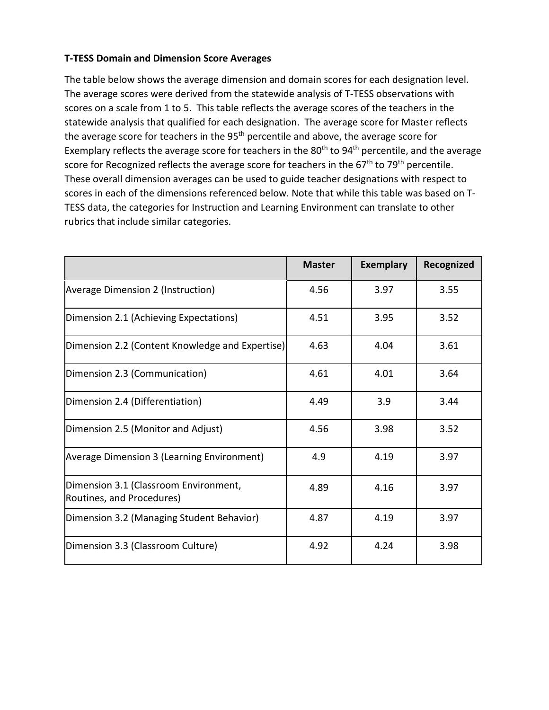#### **T-TESS Domain and Dimension Score Averages**

The table below shows the average dimension and domain scores for each designation level. The average scores were derived from the statewide analysis of T-TESS observations with scores on a scale from 1 to 5. This table reflects the average scores of the teachers in the statewide analysis that qualified for each designation. The average score for Master reflects the average score for teachers in the  $95<sup>th</sup>$  percentile and above, the average score for Exemplary reflects the average score for teachers in the 80<sup>th</sup> to 94<sup>th</sup> percentile, and the average score for Recognized reflects the average score for teachers in the 67<sup>th</sup> to 79<sup>th</sup> percentile. These overall dimension averages can be used to guide teacher designations with respect to scores in each of the dimensions referenced below. Note that while this table was based on T-TESS data, the categories for Instruction and Learning Environment can translate to other rubrics that include similar categories.

|                                                                    | <b>Master</b> | <b>Exemplary</b> | Recognized |
|--------------------------------------------------------------------|---------------|------------------|------------|
| Average Dimension 2 (Instruction)                                  | 4.56          | 3.97             | 3.55       |
| Dimension 2.1 (Achieving Expectations)                             | 4.51          | 3.95             | 3.52       |
| Dimension 2.2 (Content Knowledge and Expertise)                    | 4.63          | 4.04             | 3.61       |
| Dimension 2.3 (Communication)                                      | 4.61          | 4.01             | 3.64       |
| Dimension 2.4 (Differentiation)                                    | 4.49          | 3.9              | 3.44       |
| Dimension 2.5 (Monitor and Adjust)                                 | 4.56          | 3.98             | 3.52       |
| Average Dimension 3 (Learning Environment)                         | 4.9           | 4.19             | 3.97       |
| Dimension 3.1 (Classroom Environment,<br>Routines, and Procedures) | 4.89          | 4.16             | 3.97       |
| Dimension 3.2 (Managing Student Behavior)                          | 4.87          | 4.19             | 3.97       |
| Dimension 3.3 (Classroom Culture)                                  | 4.92          | 4.24             | 3.98       |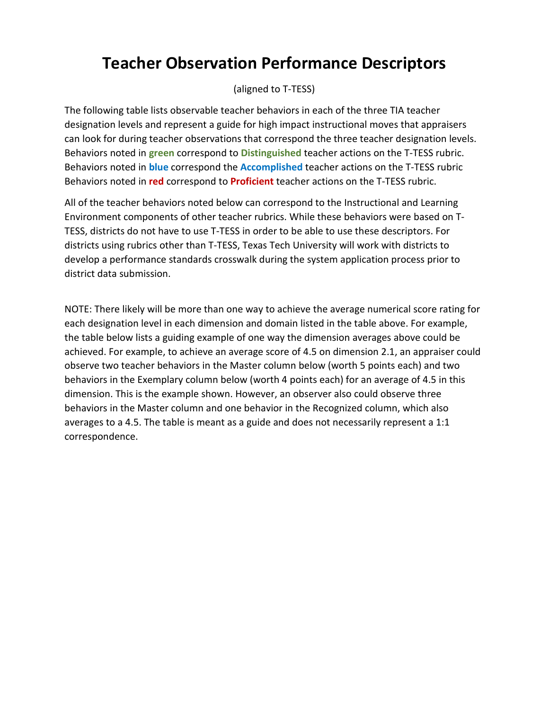# **Teacher Observation Performance Descriptors**

(aligned to T-TESS)

The following table lists observable teacher behaviors in each of the three TIA teacher designation levels and represent a guide for high impact instructional moves that appraisers can look for during teacher observations that correspond the three teacher designation levels. Behaviors noted in **green** correspond to **Distinguished** teacher actions on the T-TESS rubric. Behaviors noted in **blue** correspond the **Accomplished** teacher actions on the T-TESS rubric Behaviors noted in **red** correspond to **Proficient** teacher actions on the T-TESS rubric.

All of the teacher behaviors noted below can correspond to the Instructional and Learning Environment components of other teacher rubrics. While these behaviors were based on T-TESS, districts do not have to use T-TESS in order to be able to use these descriptors. For districts using rubrics other than T-TESS, Texas Tech University will work with districts to develop a performance standards crosswalk during the system application process prior to district data submission.

NOTE: There likely will be more than one way to achieve the average numerical score rating for each designation level in each dimension and domain listed in the table above. For example, the table below lists a guiding example of one way the dimension averages above could be achieved. For example, to achieve an average score of 4.5 on dimension 2.1, an appraiser could observe two teacher behaviors in the Master column below (worth 5 points each) and two behaviors in the Exemplary column below (worth 4 points each) for an average of 4.5 in this dimension. This is the example shown. However, an observer also could observe three behaviors in the Master column and one behavior in the Recognized column, which also averages to a 4.5. The table is meant as a guide and does not necessarily represent a 1:1 correspondence.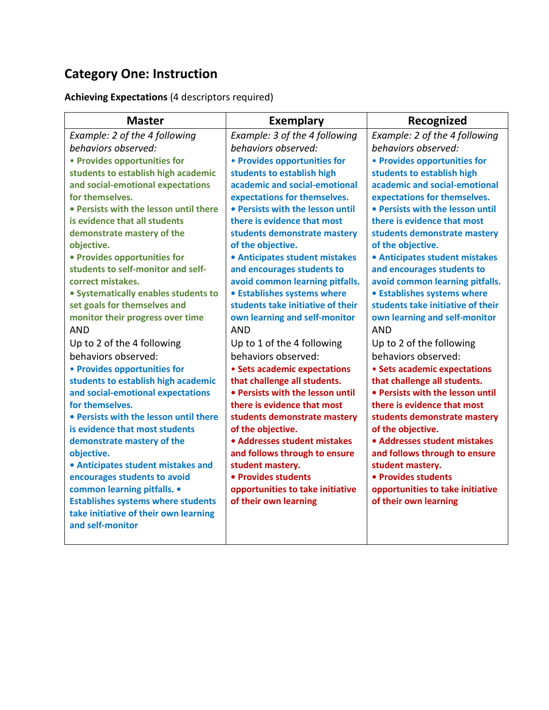# **Category One: Instruction**

## **Achieving Expectations** (4 descriptors required)

| <b>Master</b>                                             | <b>Exemplary</b>                  | Recognized                        |
|-----------------------------------------------------------|-----------------------------------|-----------------------------------|
| Example: 2 of the 4 following                             | Example: 3 of the 4 following     | Example: 2 of the 4 following     |
| behaviors observed:                                       | behaviors observed:               | behaviors observed:               |
| • Provides opportunities for                              | • Provides opportunities for      | • Provides opportunities for      |
| students to establish high academic                       | students to establish high        | students to establish high        |
| and social-emotional expectations                         | academic and social-emotional     | academic and social-emotional     |
| for themselves.                                           | expectations for themselves.      | expectations for themselves.      |
| • Persists with the lesson until there                    | • Persists with the lesson until  | • Persists with the lesson until  |
| is evidence that all students                             | there is evidence that most       | there is evidence that most       |
| demonstrate mastery of the                                | students demonstrate mastery      | students demonstrate mastery      |
| objective.                                                | of the objective.                 | of the objective.                 |
| • Provides opportunities for                              | • Anticipates student mistakes    | • Anticipates student mistakes    |
| students to self-monitor and self-                        | and encourages students to        | and encourages students to        |
| correct mistakes.                                         | avoid common learning pitfalls.   | avoid common learning pitfalls.   |
| • Systematically enables students to                      | • Establishes systems where       | • Establishes systems where       |
| set goals for themselves and                              | students take initiative of their | students take initiative of their |
| monitor their progress over time                          | own learning and self-monitor     | own learning and self-monitor     |
| AND                                                       | AND                               | AND                               |
| Up to 2 of the 4 following                                | Up to 1 of the 4 following        | Up to 2 of the following          |
| behaviors observed:                                       | behaviors observed:               | behaviors observed:               |
| • Provides opportunities for                              | • Sets academic expectations      | • Sets academic expectations      |
| students to establish high academic                       | that challenge all students.      | that challenge all students.      |
| and social-emotional expectations                         | • Persists with the lesson until  | • Persists with the lesson until  |
| for themselves.                                           | there is evidence that most       | there is evidence that most       |
| • Persists with the lesson until there                    | students demonstrate mastery      | students demonstrate mastery      |
| is evidence that most students                            | of the objective.                 | of the objective.                 |
| demonstrate mastery of the                                | • Addresses student mistakes      | • Addresses student mistakes      |
| objective.                                                | and follows through to ensure     | and follows through to ensure     |
| • Anticipates student mistakes and                        | student mastery.                  | student mastery.                  |
| encourages students to avoid                              | • Provides students               | • Provides students               |
| common learning pitfalls. •                               | opportunities to take initiative  | opportunities to take initiative  |
| <b>Establishes systems where students</b>                 | of their own learning             | of their own learning             |
| take initiative of their own learning<br>and self-monitor |                                   |                                   |
|                                                           |                                   |                                   |
|                                                           |                                   |                                   |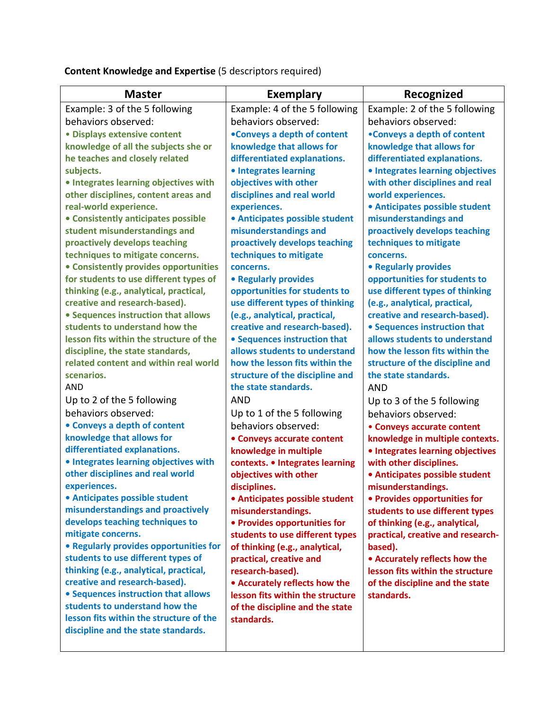| <b>Master</b>                           | <b>Exemplary</b>                 | Recognized                        |
|-----------------------------------------|----------------------------------|-----------------------------------|
| Example: 3 of the 5 following           | Example: 4 of the 5 following    | Example: 2 of the 5 following     |
| behaviors observed:                     | behaviors observed:              | behaviors observed:               |
| · Displays extensive content            | •Conveys a depth of content      | •Conveys a depth of content       |
| knowledge of all the subjects she or    | knowledge that allows for        | knowledge that allows for         |
| he teaches and closely related          | differentiated explanations.     | differentiated explanations.      |
| subjects.                               | • Integrates learning            | • Integrates learning objectives  |
| • Integrates learning objectives with   | objectives with other            | with other disciplines and real   |
| other disciplines, content areas and    | disciplines and real world       | world experiences.                |
| real-world experience.                  | experiences.                     | • Anticipates possible student    |
| • Consistently anticipates possible     | · Anticipates possible student   | misunderstandings and             |
| student misunderstandings and           | misunderstandings and            | proactively develops teaching     |
| proactively develops teaching           | proactively develops teaching    | techniques to mitigate            |
| techniques to mitigate concerns.        | techniques to mitigate           | concerns.                         |
| • Consistently provides opportunities   | concerns.                        | • Regularly provides              |
| for students to use different types of  | • Regularly provides             | opportunities for students to     |
| thinking (e.g., analytical, practical,  | opportunities for students to    | use different types of thinking   |
| creative and research-based).           | use different types of thinking  | (e.g., analytical, practical,     |
| • Sequences instruction that allows     | (e.g., analytical, practical,    | creative and research-based).     |
| students to understand how the          | creative and research-based).    | • Sequences instruction that      |
| lesson fits within the structure of the | • Sequences instruction that     | allows students to understand     |
| discipline, the state standards,        | allows students to understand    | how the lesson fits within the    |
| related content and within real world   | how the lesson fits within the   | structure of the discipline and   |
| scenarios.                              | structure of the discipline and  | the state standards.              |
| <b>AND</b>                              | the state standards.             | <b>AND</b>                        |
| Up to 2 of the 5 following              | <b>AND</b>                       | Up to 3 of the 5 following        |
| behaviors observed:                     | Up to 1 of the 5 following       | behaviors observed:               |
| • Conveys a depth of content            | behaviors observed:              | • Conveys accurate content        |
| knowledge that allows for               | • Conveys accurate content       | knowledge in multiple contexts.   |
| differentiated explanations.            | knowledge in multiple            | • Integrates learning objectives  |
| • Integrates learning objectives with   | contexts. • Integrates learning  | with other disciplines.           |
| other disciplines and real world        | objectives with other            | • Anticipates possible student    |
| experiences.                            | disciplines.                     | misunderstandings.                |
| • Anticipates possible student          | • Anticipates possible student   | • Provides opportunities for      |
| misunderstandings and proactively       | misunderstandings.               | students to use different types   |
| develops teaching techniques to         | • Provides opportunities for     | of thinking (e.g., analytical,    |
| mitigate concerns.                      | students to use different types  | practical, creative and research- |
| • Regularly provides opportunities for  | of thinking (e.g., analytical,   | based).                           |
| students to use different types of      | practical, creative and          | • Accurately reflects how the     |
| thinking (e.g., analytical, practical,  | research-based).                 | lesson fits within the structure  |
| creative and research-based).           | • Accurately reflects how the    | of the discipline and the state   |
| • Sequences instruction that allows     | lesson fits within the structure | standards.                        |
| students to understand how the          | of the discipline and the state  |                                   |
| lesson fits within the structure of the | standards.                       |                                   |
| discipline and the state standards.     |                                  |                                   |
|                                         |                                  |                                   |

**Content Knowledge and Expertise** (5 descriptors required)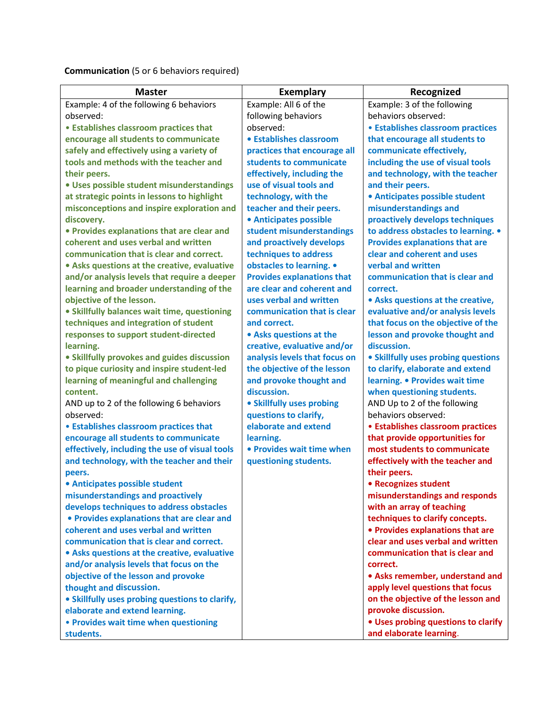**Communication** (5 or 6 behaviors required)

| <b>Master</b>                                   | <b>Exemplary</b>                  | Recognized                            |
|-------------------------------------------------|-----------------------------------|---------------------------------------|
| Example: 4 of the following 6 behaviors         | Example: All 6 of the             | Example: 3 of the following           |
| observed:                                       | following behaviors               | behaviors observed:                   |
| • Establishes classroom practices that          | observed:                         | • Establishes classroom practices     |
| encourage all students to communicate           | • Establishes classroom           | that encourage all students to        |
| safely and effectively using a variety of       | practices that encourage all      | communicate effectively,              |
| tools and methods with the teacher and          | students to communicate           | including the use of visual tools     |
| their peers.                                    | effectively, including the        | and technology, with the teacher      |
| · Uses possible student misunderstandings       | use of visual tools and           | and their peers.                      |
| at strategic points in lessons to highlight     | technology, with the              | • Anticipates possible student        |
| misconceptions and inspire exploration and      | teacher and their peers.          | misunderstandings and                 |
| discovery.                                      | <b>• Anticipates possible</b>     | proactively develops techniques       |
| • Provides explanations that are clear and      | student misunderstandings         | to address obstacles to learning. .   |
| coherent and uses verbal and written            | and proactively develops          | <b>Provides explanations that are</b> |
| communication that is clear and correct.        | techniques to address             | clear and coherent and uses           |
| • Asks questions at the creative, evaluative    | obstacles to learning. .          | verbal and written                    |
| and/or analysis levels that require a deeper    | <b>Provides explanations that</b> | communication that is clear and       |
| learning and broader understanding of the       | are clear and coherent and        | correct.                              |
| objective of the lesson.                        | uses verbal and written           | • Asks questions at the creative,     |
| • Skillfully balances wait time, questioning    | communication that is clear       | evaluative and/or analysis levels     |
| techniques and integration of student           | and correct.                      | that focus on the objective of the    |
| responses to support student-directed           | • Asks questions at the           | lesson and provoke thought and        |
| learning.                                       | creative, evaluative and/or       | discussion.                           |
| • Skillfully provokes and guides discussion     | analysis levels that focus on     | • Skillfully uses probing questions   |
| to pique curiosity and inspire student-led      | the objective of the lesson       | to clarify, elaborate and extend      |
| learning of meaningful and challenging          | and provoke thought and           | learning. • Provides wait time        |
| content.                                        | discussion.                       | when questioning students.            |
| AND up to 2 of the following 6 behaviors        | • Skillfully uses probing         | AND Up to 2 of the following          |
| observed:                                       | questions to clarify,             | behaviors observed:                   |
| • Establishes classroom practices that          | elaborate and extend              | • Establishes classroom practices     |
| encourage all students to communicate           | learning.                         | that provide opportunities for        |
| effectively, including the use of visual tools  | • Provides wait time when         | most students to communicate          |
| and technology, with the teacher and their      | questioning students.             | effectively with the teacher and      |
| peers.                                          |                                   | their peers.                          |
| • Anticipates possible student                  |                                   | • Recognizes student                  |
| misunderstandings and proactively               |                                   | misunderstandings and responds        |
| develops techniques to address obstacles        |                                   | with an array of teaching             |
| • Provides explanations that are clear and      |                                   | techniques to clarify concepts.       |
| coherent and uses verbal and written            |                                   | • Provides explanations that are      |
| communication that is clear and correct.        |                                   | clear and uses verbal and written     |
| • Asks questions at the creative, evaluative    |                                   | communication that is clear and       |
| and/or analysis levels that focus on the        |                                   | correct.                              |
| objective of the lesson and provoke             |                                   | • Asks remember, understand and       |
| thought and discussion.                         |                                   | apply level questions that focus      |
| • Skillfully uses probing questions to clarify, |                                   | on the objective of the lesson and    |
| elaborate and extend learning.                  |                                   | provoke discussion.                   |
| • Provides wait time when questioning           |                                   | . Uses probing questions to clarify   |
| students.                                       |                                   | and elaborate learning.               |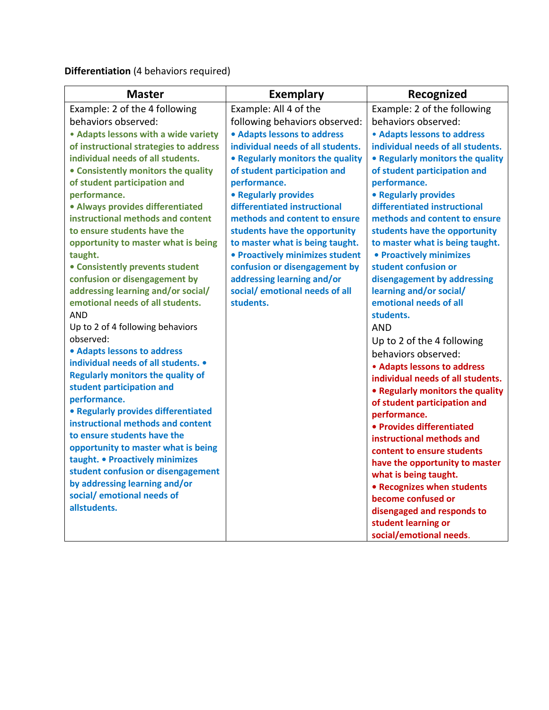**Differentiation** (4 behaviors required)

| <b>Master</b>                                                         | <b>Exemplary</b>                  | Recognized                        |
|-----------------------------------------------------------------------|-----------------------------------|-----------------------------------|
| Example: 2 of the 4 following                                         | Example: All 4 of the             | Example: 2 of the following       |
| behaviors observed:                                                   | following behaviors observed:     | behaviors observed:               |
| • Adapts lessons with a wide variety                                  | • Adapts lessons to address       | • Adapts lessons to address       |
| of instructional strategies to address                                | individual needs of all students. | individual needs of all students. |
| individual needs of all students.                                     | • Regularly monitors the quality  | • Regularly monitors the quality  |
| • Consistently monitors the quality                                   | of student participation and      | of student participation and      |
| of student participation and                                          | performance.                      | performance.                      |
| performance.                                                          | • Regularly provides              | • Regularly provides              |
| · Always provides differentiated                                      | differentiated instructional      | differentiated instructional      |
| instructional methods and content                                     | methods and content to ensure     | methods and content to ensure     |
| to ensure students have the                                           | students have the opportunity     | students have the opportunity     |
| opportunity to master what is being                                   | to master what is being taught.   | to master what is being taught.   |
| taught.                                                               | • Proactively minimizes student   | • Proactively minimizes           |
| • Consistently prevents student                                       | confusion or disengagement by     | student confusion or              |
| confusion or disengagement by                                         | addressing learning and/or        | disengagement by addressing       |
| addressing learning and/or social/                                    | social/ emotional needs of all    | learning and/or social/           |
| emotional needs of all students.                                      | students.                         | emotional needs of all            |
| <b>AND</b>                                                            |                                   | students.                         |
| Up to 2 of 4 following behaviors                                      |                                   | <b>AND</b>                        |
| observed:                                                             |                                   | Up to 2 of the 4 following        |
| • Adapts lessons to address<br>individual needs of all students. •    |                                   | behaviors observed:               |
|                                                                       |                                   | • Adapts lessons to address       |
| <b>Regularly monitors the quality of</b><br>student participation and |                                   | individual needs of all students. |
| performance.                                                          |                                   | • Regularly monitors the quality  |
| • Regularly provides differentiated                                   |                                   | of student participation and      |
| instructional methods and content                                     |                                   | performance.                      |
| to ensure students have the                                           |                                   | • Provides differentiated         |
| opportunity to master what is being                                   |                                   | instructional methods and         |
| taught. • Proactively minimizes                                       |                                   | content to ensure students        |
| student confusion or disengagement                                    |                                   | have the opportunity to master    |
| by addressing learning and/or                                         |                                   | what is being taught.             |
| social/ emotional needs of                                            |                                   | • Recognizes when students        |
| allstudents.                                                          |                                   | become confused or                |
|                                                                       |                                   | disengaged and responds to        |
|                                                                       |                                   | student learning or               |
|                                                                       |                                   | social/emotional needs.           |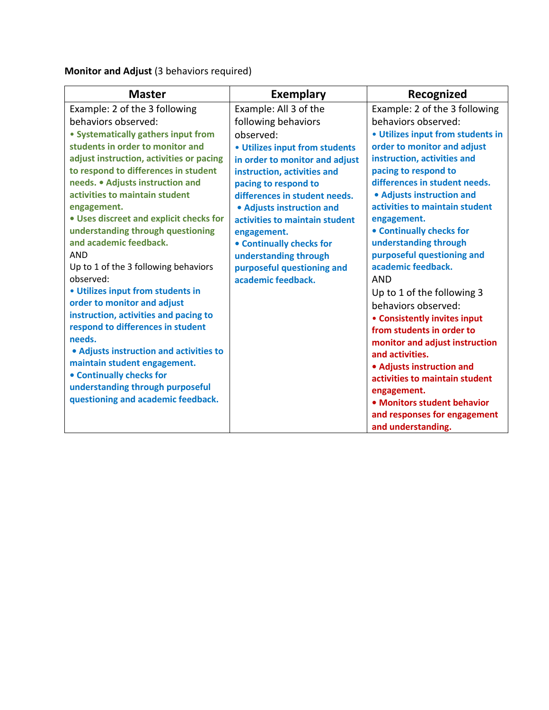**Monitor and Adjust** (3 behaviors required)

| <b>Master</b>                            | <b>Exemplary</b>                | Recognized                        |
|------------------------------------------|---------------------------------|-----------------------------------|
| Example: 2 of the 3 following            | Example: All 3 of the           | Example: 2 of the 3 following     |
| behaviors observed:                      | following behaviors             | behaviors observed:               |
| • Systematically gathers input from      | observed:                       | • Utilizes input from students in |
| students in order to monitor and         | • Utilizes input from students  | order to monitor and adjust       |
| adjust instruction, activities or pacing | in order to monitor and adjust  | instruction, activities and       |
| to respond to differences in student     | instruction, activities and     | pacing to respond to              |
| needs. • Adjusts instruction and         | pacing to respond to            | differences in student needs.     |
| activities to maintain student           | differences in student needs.   | • Adjusts instruction and         |
| engagement.                              | • Adjusts instruction and       | activities to maintain student    |
| . Uses discreet and explicit checks for  | activities to maintain student  | engagement.                       |
| understanding through questioning        | engagement.                     | • Continually checks for          |
| and academic feedback.                   | <b>• Continually checks for</b> | understanding through             |
| <b>AND</b>                               | understanding through           | purposeful questioning and        |
| Up to 1 of the 3 following behaviors     | purposeful questioning and      | academic feedback.                |
| observed:                                | academic feedback.              | <b>AND</b>                        |
| • Utilizes input from students in        |                                 | Up to 1 of the following 3        |
| order to monitor and adjust              |                                 | behaviors observed:               |
| instruction, activities and pacing to    |                                 | • Consistently invites input      |
| respond to differences in student        |                                 | from students in order to         |
| needs.                                   |                                 | monitor and adjust instruction    |
| • Adjusts instruction and activities to  |                                 | and activities.                   |
| maintain student engagement.             |                                 | • Adjusts instruction and         |
| <b>• Continually checks for</b>          |                                 | activities to maintain student    |
| understanding through purposeful         |                                 | engagement.                       |
| questioning and academic feedback.       |                                 | • Monitors student behavior       |
|                                          |                                 | and responses for engagement      |
|                                          |                                 | and understanding.                |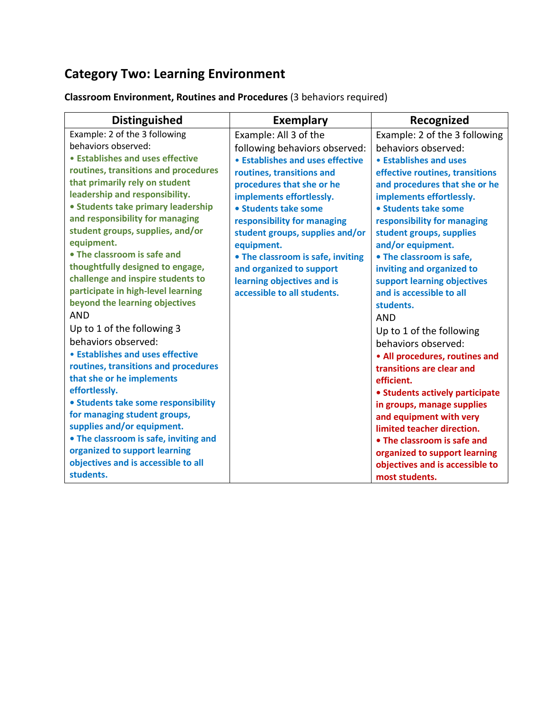# **Category Two: Learning Environment**

**Classroom Environment, Routines and Procedures** (3 behaviors required)